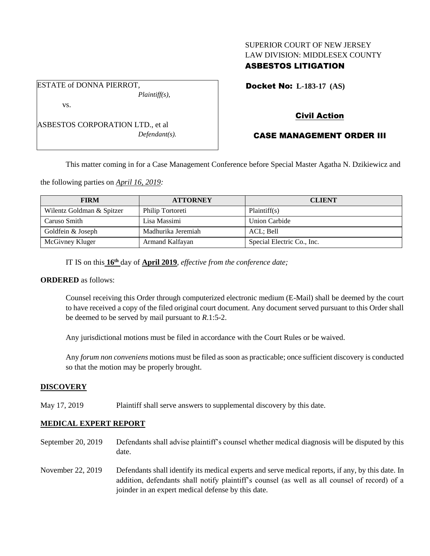# SUPERIOR COURT OF NEW JERSEY LAW DIVISION: MIDDLESEX COUNTY

## ASBESTOS LITIGATION

Docket No: **L-183-17 (AS)** 

vs.

ESTATE of DONNA PIERROT,

ASBESTOS CORPORATION LTD., et al *Defendant(s).*

*Plaintiff(s),*

# Civil Action

## CASE MANAGEMENT ORDER III

This matter coming in for a Case Management Conference before Special Master Agatha N. Dzikiewicz and

the following parties on *April 16, 2019:*

| <b>FIRM</b>               | <b>ATTORNEY</b>    | <b>CLIENT</b>              |
|---------------------------|--------------------|----------------------------|
| Wilentz Goldman & Spitzer | Philip Tortoreti   | Plaintiff(s)               |
| Caruso Smith              | Lisa Massimi       | Union Carbide              |
| Goldfein & Joseph         | Madhurika Jeremiah | ACL; Bell                  |
| McGivney Kluger           | Armand Kalfayan    | Special Electric Co., Inc. |

IT IS on this **16 th** day of **April 2019**, *effective from the conference date;*

### **ORDERED** as follows:

Counsel receiving this Order through computerized electronic medium (E-Mail) shall be deemed by the court to have received a copy of the filed original court document. Any document served pursuant to this Order shall be deemed to be served by mail pursuant to *R*.1:5-2.

Any jurisdictional motions must be filed in accordance with the Court Rules or be waived.

Any *forum non conveniens* motions must be filed as soon as practicable; once sufficient discovery is conducted so that the motion may be properly brought.

### **DISCOVERY**

May 17, 2019 Plaintiff shall serve answers to supplemental discovery by this date.

## **MEDICAL EXPERT REPORT**

- September 20, 2019 Defendants shall advise plaintiff's counsel whether medical diagnosis will be disputed by this date.
- November 22, 2019 Defendants shall identify its medical experts and serve medical reports, if any, by this date. In addition, defendants shall notify plaintiff's counsel (as well as all counsel of record) of a joinder in an expert medical defense by this date.